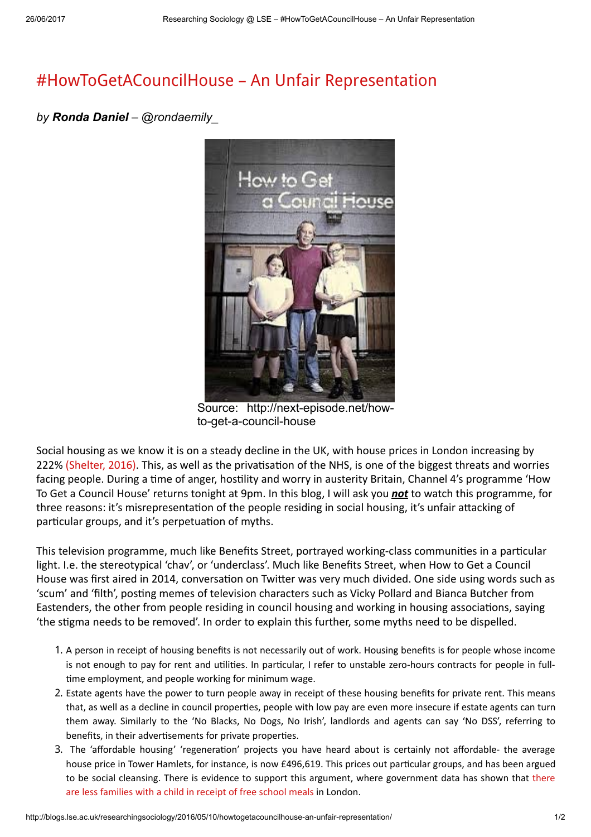## [#HowToGetACouncilHouse](http://blogs.lse.ac.uk/researchingsociology/2016/05/10/howtogetacouncilhouse-an-unfair-representation/) – An Unfair Representation

## by Ronda Daniel – @rondaemily



Source: http://next-episode.net/howto-get-a-council-house

Social housing as we know it is on a steady decline in the UK, with house prices in London increasing by 222% [\(Shelter,](http://england.shelter.org.uk/campaigns_/why_we_campaign/housing_facts_and_figures) 2016). This, as well as the privatisation of the NHS, is one of the biggest threats and worries facing people. During a time of anger, hostility and worry in austerity Britain, Channel 4's programme 'How To Get a Council House' returns tonight at 9pm. In this blog, I will ask you **not** to watch this programme, for three reasons: it's misrepresentation of the people residing in social housing, it's unfair attacking of particular groups, and it's perpetuation of myths.

This television programme, much like Benefits Street, portrayed working-class communities in a particular light. I.e. the stereotypical 'chav', or 'underclass'. Much like Benefits Street, when How to Get a Council House was first aired in 2014, conversation on Twitter was very much divided. One side using words such as 'scum' and 'filth', posting memes of television characters such as Vicky Pollard and Bianca Butcher from Eastenders, the other from people residing in council housing and working in housing associations, saying 'the stigma needs to be removed'. In order to explain this further, some myths need to be dispelled.

- 1. A person in receipt of housing benefits is not necessarily out of work. Housing benefits is for people whose income is not enough to pay for rent and utilities. In particular, I refer to unstable zero-hours contracts for people in fulltime employment, and people working for minimum wage.
- 2. Estate agents have the power to turn people away in receipt of these housing benefits for private rent. This means that, as well as a decline in council properties, people with low pay are even more insecure if estate agents can turn them away. Similarly to the 'No Blacks, No Dogs, No Irish', landlords and agents can say 'No DSS', referring to benefits, in their advertisements for private properties.
- 3. The 'affordable housing' 'regeneration' projects you have heard about is certainly not affordable- the average house price in Tower Hamlets, for instance, is now £496,619. This prices out particular groups, and has been argued to be social cleansing. There is evidence to support this argument, where [government](http://www.parliament.uk/business/publications/written-questions-answers-statements/written-question/Commons/2015-07-14/7147/) data has shown that there are less families with a child in receipt of free school meals in London.